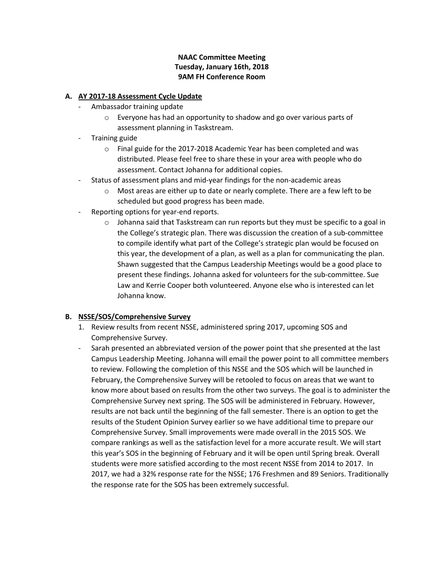## **NAAC Committee Meeting Tuesday, January 16th, 2018 9AM FH Conference Room**

### **A. AY 2017-18 Assessment Cycle Update**

- Ambassador training update
	- o Everyone has had an opportunity to shadow and go over various parts of assessment planning in Taskstream.
- Training guide
	- o Final guide for the 2017-2018 Academic Year has been completed and was distributed. Please feel free to share these in your area with people who do assessment. Contact Johanna for additional copies.
- Status of assessment plans and mid-year findings for the non-academic areas
	- o Most areas are either up to date or nearly complete. There are a few left to be scheduled but good progress has been made.
- Reporting options for year-end reports.
	- $\circ$  Johanna said that Taskstream can run reports but they must be specific to a goal in the College's strategic plan. There was discussion the creation of a sub-committee to compile identify what part of the College's strategic plan would be focused on this year, the development of a plan, as well as a plan for communicating the plan. Shawn suggested that the Campus Leadership Meetings would be a good place to present these findings. Johanna asked for volunteers for the sub-committee. Sue Law and Kerrie Cooper both volunteered. Anyone else who is interested can let Johanna know.

# **B. NSSE/SOS/Comprehensive Survey**

- 1. Review results from recent NSSE, administered spring 2017, upcoming SOS and Comprehensive Survey.
- Sarah presented an abbreviated version of the power point that she presented at the last Campus Leadership Meeting. Johanna will email the power point to all committee members to review. Following the completion of this NSSE and the SOS which will be launched in February, the Comprehensive Survey will be retooled to focus on areas that we want to know more about based on results from the other two surveys. The goal is to administer the Comprehensive Survey next spring. The SOS will be administered in February. However, results are not back until the beginning of the fall semester. There is an option to get the results of the Student Opinion Survey earlier so we have additional time to prepare our Comprehensive Survey. Small improvements were made overall in the 2015 SOS. We compare rankings as well as the satisfaction level for a more accurate result. We will start this year's SOS in the beginning of February and it will be open until Spring break. Overall students were more satisfied according to the most recent NSSE from 2014 to 2017. In 2017, we had a 32% response rate for the NSSE; 176 Freshmen and 89 Seniors. Traditionally the response rate for the SOS has been extremely successful.